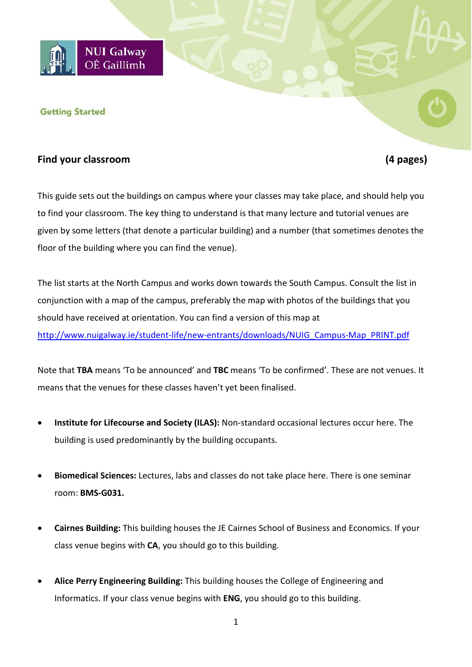

#### **Getting Started**

### **Find your classroom (4 pages)**

This guide sets out the buildings on campus where your classes may take place, and should help you to find your classroom. The key thing to understand is that many lecture and tutorial venues are given by some letters (that denote a particular building) and a number (that sometimes denotes the floor of the building where you can find the venue).

The list starts at the North Campus and works down towards the South Campus. Consult the list in conjunction with a map of the campus, preferably the map with photos of the buildings that you should have received at orientation. You can find a version of this map at [http://www.nuigalway.ie/student-life/new-entrants/downloads/NUIG\\_Campus-Map\\_PRINT.pdf](http://www.nuigalway.ie/student-life/new-entrants/downloads/NUIG_Campus-Map_PRINT.pdf)

Note that **TBA** means 'To be announced' and **TBC** means 'To be confirmed'. These are not venues. It means that the venues for these classes haven't yet been finalised.

- **Institute for Lifecourse and Society (ILAS):** Non-standard occasional lectures occur here. The building is used predominantly by the building occupants.
- **Biomedical Sciences:** Lectures, labs and classes do not take place here. There is one seminar room: **BMS-G031.**
- **Cairnes Building:** This building houses the JE Cairnes School of Business and Economics. If your class venue begins with **CA**, you should go to this building.
- **Alice Perry Engineering Building:** This building houses the College of Engineering and Informatics. If your class venue begins with **ENG**, you should go to this building.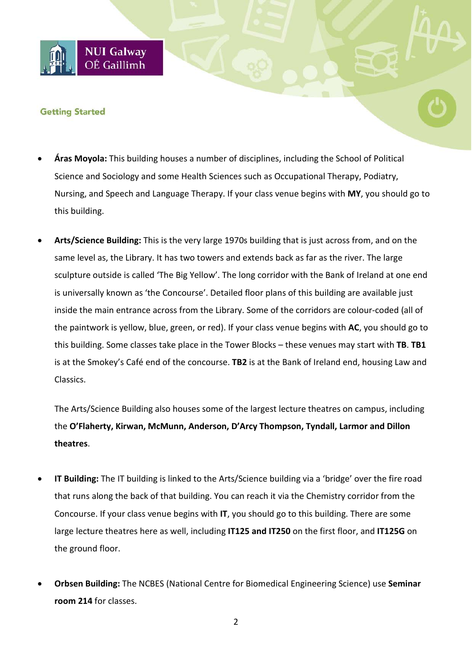### **Getting Started**

**NUI Galway** OÉ Gaillimh

- **Áras Moyola:** This building houses a number of disciplines, including the School of Political Science and Sociology and some Health Sciences such as Occupational Therapy, Podiatry, Nursing, and Speech and Language Therapy. If your class venue begins with **MY**, you should go to this building.
- **Arts/Science Building:** This is the very large 1970s building that is just across from, and on the same level as, the Library. It has two towers and extends back as far as the river. The large sculpture outside is called 'The Big Yellow'. The long corridor with the Bank of Ireland at one end is universally known as 'the Concourse'. Detailed floor plans of this building are available just inside the main entrance across from the Library. Some of the corridors are colour-coded (all of the paintwork is yellow, blue, green, or red). If your class venue begins with **AC**, you should go to this building. Some classes take place in the Tower Blocks – these venues may start with **TB**. **TB1**  is at the Smokey's Café end of the concourse. **TB2** is at the Bank of Ireland end, housing Law and Classics.

The Arts/Science Building also houses some of the largest lecture theatres on campus, including the **O'Flaherty, Kirwan, McMunn, Anderson, D'Arcy Thompson, Tyndall, Larmor and Dillon theatres**.

- **IT Building:** The IT building is linked to the Arts/Science building via a 'bridge' over the fire road that runs along the back of that building. You can reach it via the Chemistry corridor from the Concourse. If your class venue begins with **IT**, you should go to this building. There are some large lecture theatres here as well, including **IT125 and IT250** on the first floor, and **IT125G** on the ground floor.
- **Orbsen Building:** The NCBES (National Centre for Biomedical Engineering Science) use **Seminar room 214** for classes.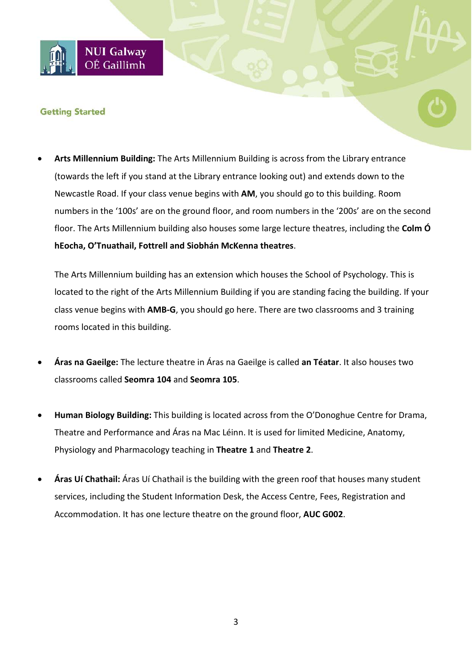# **NUI Galway** OÉ Gaillimh

## **Getting Started**

• **Arts Millennium Building:** The Arts Millennium Building is across from the Library entrance (towards the left if you stand at the Library entrance looking out) and extends down to the Newcastle Road. If your class venue begins with **AM**, you should go to this building. Room numbers in the '100s' are on the ground floor, and room numbers in the '200s' are on the second floor. The Arts Millennium building also houses some large lecture theatres, including the **Colm Ó hEocha, O'Tnuathail, Fottrell and Siobhán McKenna theatres**.

The Arts Millennium building has an extension which houses the School of Psychology. This is located to the right of the Arts Millennium Building if you are standing facing the building. If your class venue begins with **AMB-G**, you should go here. There are two classrooms and 3 training rooms located in this building.

- **Áras na Gaeilge:** The lecture theatre in Áras na Gaeilge is called **an Téatar**. It also houses two classrooms called **Seomra 104** and **Seomra 105**.
- **Human Biology Building:** This building is located across from the O'Donoghue Centre for Drama, Theatre and Performance and Áras na Mac Léinn. It is used for limited Medicine, Anatomy, Physiology and Pharmacology teaching in **Theatre 1** and **Theatre 2**.
- **Áras Uí Chathail:** Áras Uí Chathail is the building with the green roof that houses many student services, including the Student Information Desk, the Access Centre, Fees, Registration and Accommodation. It has one lecture theatre on the ground floor, **AUC G002**.